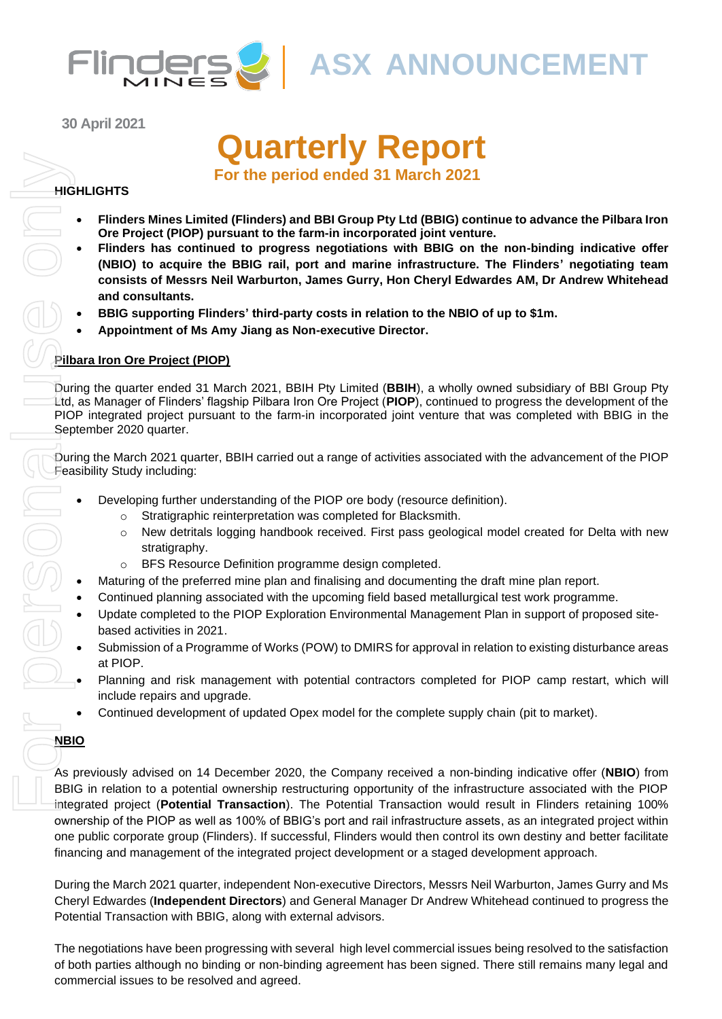

**30 April 2021**

# **Quarterly Report**

**For the period ended 31 March 2021**

#### **HIGHLIGHTS**

- **Flinders Mines Limited (Flinders) and BBI Group Pty Ltd (BBIG) continue to advance the Pilbara Iron Ore Project (PIOP) pursuant to the farm-in incorporated joint venture.**
- **Flinders has continued to progress negotiations with BBIG on the non-binding indicative offer (NBIO) to acquire the BBIG rail, port and marine infrastructure. The Flinders' negotiating team consists of Messrs Neil Warburton, James Gurry, Hon Cheryl Edwardes AM, Dr Andrew Whitehead and consultants.**
- **BBIG supporting Flinders' third-party costs in relation to the NBIO of up to \$1m.**
- **Appointment of Ms Amy Jiang as Non-executive Director.**

#### **Pilbara Iron Ore Project (PIOP)**

During the quarter ended 31 March 2021, BBIH Pty Limited (**BBIH**), a wholly owned subsidiary of BBI Group Pty Ltd, as Manager of Flinders' flagship Pilbara Iron Ore Project (**PIOP**), continued to progress the development of the PIOP integrated project pursuant to the farm-in incorporated joint venture that was completed with BBIG in the September 2020 quarter.

During the March 2021 quarter, BBIH carried out a range of activities associated with the advancement of the PIOP Feasibility Study including:

- Developing further understanding of the PIOP ore body (resource definition).
	- o Stratigraphic reinterpretation was completed for Blacksmith.
	- o New detritals logging handbook received. First pass geological model created for Delta with new stratigraphy.
	- o BFS Resource Definition programme design completed.
- Maturing of the preferred mine plan and finalising and documenting the draft mine plan report.
- Continued planning associated with the upcoming field based metallurgical test work programme.
- Update completed to the PIOP Exploration Environmental Management Plan in support of proposed sitebased activities in 2021.
- Submission of a Programme of Works (POW) to DMIRS for approval in relation to existing disturbance areas at PIOP.
- Planning and risk management with potential contractors completed for PIOP camp restart, which will include repairs and upgrade.
- Continued development of updated Opex model for the complete supply chain (pit to market).

#### **NBIO**

As previously advised on 14 December 2020, the Company received a non-binding indicative offer (**NBIO**) from BBIG in relation to a potential ownership restructuring opportunity of the infrastructure associated with the PIOP integrated project (**Potential Transaction**). The Potential Transaction would result in Flinders retaining 100% ownership of the PIOP as well as 100% of BBIG's port and rail infrastructure assets, as an integrated project within one public corporate group (Flinders). If successful, Flinders would then control its own destiny and better facilitate financing and management of the integrated project development or a staged development approach.

During the March 2021 quarter, independent Non-executive Directors, Messrs Neil Warburton, James Gurry and Ms Cheryl Edwardes (**Independent Directors**) and General Manager Dr Andrew Whitehead continued to progress the Potential Transaction with BBIG, along with external advisors.

The negotiations have been progressing with several high level commercial issues being resolved to the satisfaction of both parties although no binding or non-binding agreement has been signed. There still remains many legal and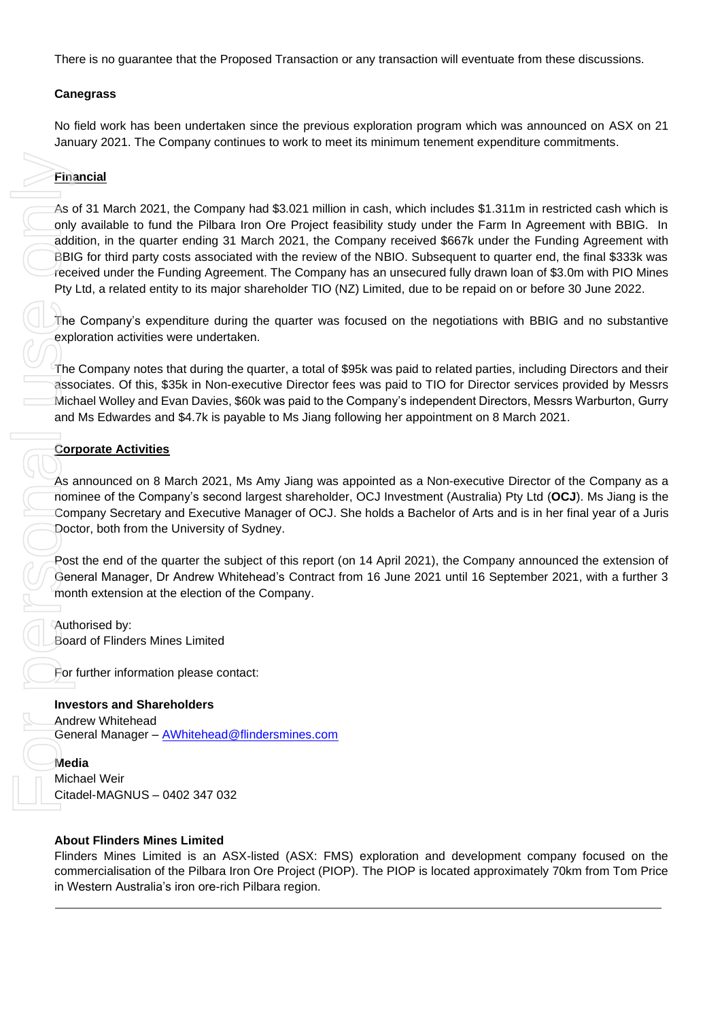There is no guarantee that the Proposed Transaction or any transaction will eventuate from these discussions.

#### **Canegrass**

No field work has been undertaken since the previous exploration program which was announced on ASX on 21 January 2021. The Company continues to work to meet its minimum tenement expenditure commitments.

#### **Financial**

As of 31 March 2021, the Company had \$3.021 million in cash, which includes \$1.311m in restricted cash which is only available to fund the Pilbara Iron Ore Project feasibility study under the Farm In Agreement with BBIG. In addition, in the quarter ending 31 March 2021, the Company received \$667k under the Funding Agreement with BBIG for third party costs associated with the review of the NBIO. Subsequent to quarter end, the final \$333k was received under the Funding Agreement. The Company has an unsecured fully drawn loan of \$3.0m with PIO Mines Pty Ltd, a related entity to its major shareholder TIO (NZ) Limited, due to be repaid on or before 30 June 2022.

The Company's expenditure during the quarter was focused on the negotiations with BBIG and no substantive exploration activities were undertaken.

The Company notes that during the quarter, a total of \$95k was paid to related parties, including Directors and their associates. Of this, \$35k in Non-executive Director fees was paid to TIO for Director services provided by Messrs Michael Wolley and Evan Davies, \$60k was paid to the Company's independent Directors, Messrs Warburton, Gurry and Ms Edwardes and \$4.7k is payable to Ms Jiang following her appointment on 8 March 2021.

#### **Corporate Activities**

As announced on 8 March 2021, Ms Amy Jiang was appointed as a Non-executive Director of the Company as a nominee of the Company's second largest shareholder, OCJ Investment (Australia) Pty Ltd (**OCJ**). Ms Jiang is the Company Secretary and Executive Manager of OCJ. She holds a Bachelor of Arts and is in her final year of a Juris Doctor, both from the University of Sydney.

Post the end of the quarter the subject of this report (on 14 April 2021), the Company announced the extension of General Manager, Dr Andrew Whitehead's Contract from 16 June 2021 until 16 September 2021, with a further 3 month extension at the election of the Company.

Authorised by: Board of Flinders Mines Limited

For further information please contact:

#### **Investors and Shareholders**

Andrew Whitehead General Manager - **[AWhitehead@flindersmines.com](mailto:AWhitehead@flindersmines.com)** 

**Media** Michael Weir Citadel-MAGNUS – 0402 347 032

#### **About Flinders Mines Limited**

Flinders Mines Limited is an ASX-listed (ASX: FMS) exploration and development company focused on the commercialisation of the Pilbara Iron Ore Project (PIOP). The PIOP is located approximately 70km from Tom Price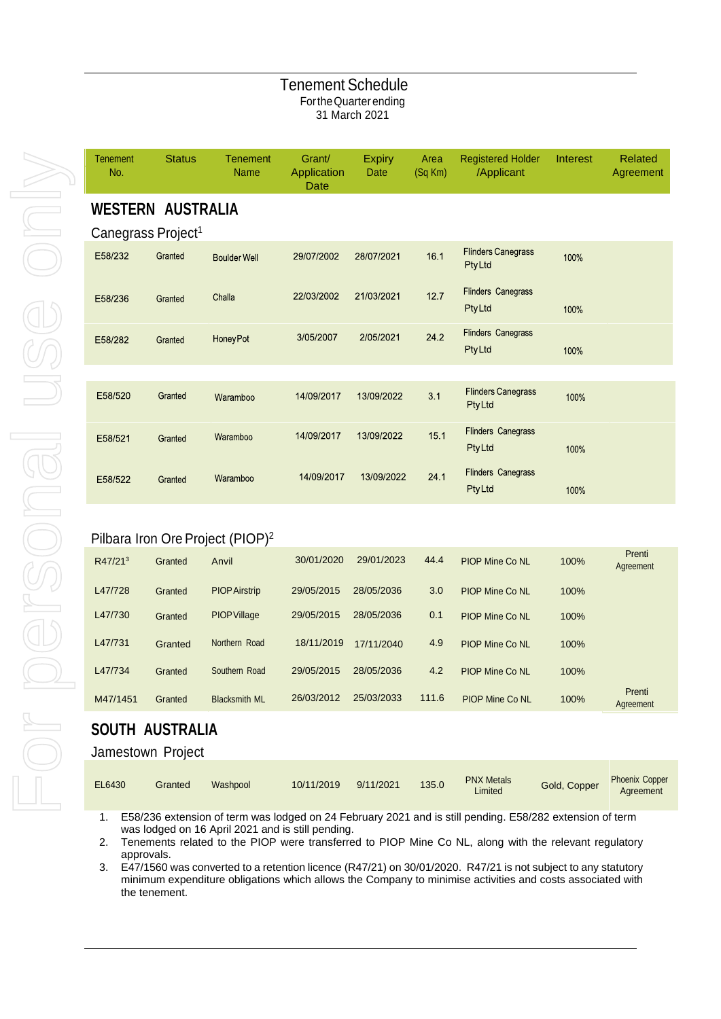#### Tenement Schedule FortheQuarterending 31 March 2021

| <b>Tenement</b><br>No. | <b>Status</b>                  | <b>Tenement</b><br><b>Name</b> | Grant/<br>Application<br>Date | <b>Expiry</b><br>Date | Area<br>(Sq Km) | <b>Registered Holder</b><br>/Applicant      | Interest | <b>Related</b><br>Agreement |
|------------------------|--------------------------------|--------------------------------|-------------------------------|-----------------------|-----------------|---------------------------------------------|----------|-----------------------------|
|                        | <b>WESTERN AUSTRALIA</b>       |                                |                               |                       |                 |                                             |          |                             |
|                        | Canegrass Project <sup>1</sup> |                                |                               |                       |                 |                                             |          |                             |
| E58/232                | Granted                        | <b>Boulder Well</b>            | 29/07/2002                    | 28/07/2021            | 16.1            | <b>Flinders Canegrass</b><br>PtyLtd         | 100%     |                             |
| E58/236                | Granted                        | Challa                         | 22/03/2002                    | 21/03/2021            | 12.7            | <b>Flinders Canegrass</b><br><b>Pty Ltd</b> | 100%     |                             |
| E58/282                | Granted                        | <b>HoneyPot</b>                | 3/05/2007                     | 2/05/2021             | 24.2            | Flinders Canegrass<br><b>PtyLtd</b>         | 100%     |                             |
|                        |                                |                                |                               |                       |                 |                                             |          |                             |
| E58/520                | Granted                        | Waramboo                       | 14/09/2017                    | 13/09/2022            | 3.1             | <b>Flinders Canegrass</b><br><b>PtyLtd</b>  | 100%     |                             |
| E58/521                | Granted                        | Waramboo                       | 14/09/2017                    | 13/09/2022            | 15.1            | <b>Flinders Canegrass</b><br><b>PtyLtd</b>  | 100%     |                             |
| E58/522                | Granted                        | Waramboo                       | 14/09/2017                    | 13/09/2022            | 24.1            | <b>Flinders Canegrass</b><br><b>PtyLtd</b>  | 100%     |                             |

### Pilbara Iron Ore Project (PIOP)<sup>2</sup>

| R47/21 <sup>3</sup> | Granted | Anvil                | 30/01/2020 | 29/01/2023 | 44.4  | <b>PIOP Mine Co NL</b> | 100% | Prenti<br>Agreement |
|---------------------|---------|----------------------|------------|------------|-------|------------------------|------|---------------------|
| L47/728             | Granted | <b>PIOP Airstrip</b> | 29/05/2015 | 28/05/2036 | 3.0   | PIOP Mine Co NL        | 100% |                     |
| L47/730             | Granted | <b>PIOP Village</b>  | 29/05/2015 | 28/05/2036 | 0.1   | <b>PIOP Mine Co NL</b> | 100% |                     |
| L47/731             | Granted | Northern Road        | 18/11/2019 | 17/11/2040 | 4.9   | PIOP Mine Co NL        | 100% |                     |
| L47/734             | Granted | Southern Road        | 29/05/2015 | 28/05/2036 | 4.2   | <b>PIOP Mine Co NL</b> | 100% |                     |
| M47/1451            | Granted | <b>Blacksmith ML</b> | 26/03/2012 | 25/03/2033 | 111.6 | <b>PIOP Mine Co NL</b> | 100% | Prenti<br>Agreement |

## **SOUTH AUSTRALIA**

#### Jamestown Project

| EL6430 | Granted | Washpool | 10/11/2019 | 9/11/2021 | 135.0 | <b>PNX Metals</b><br>Limited | Gold, Copper | <b>Phoenix Copper</b><br>Agreement |
|--------|---------|----------|------------|-----------|-------|------------------------------|--------------|------------------------------------|
|--------|---------|----------|------------|-----------|-------|------------------------------|--------------|------------------------------------|

1. E58/236 extension of term was lodged on 24 February 2021 and is still pending. E58/282 extension of term was lodged on 16 April 2021 and is still pending.

2. Tenements related to the PIOP were transferred to PIOP Mine Co NL, along with the relevant regulatory approvals.

3. E47/1560 was converted to a retention licence (R47/21) on 30/01/2020. R47/21 is not subject to any statutory minimum expenditure obligations which allows the Company to minimise activities and costs associated with the tenement.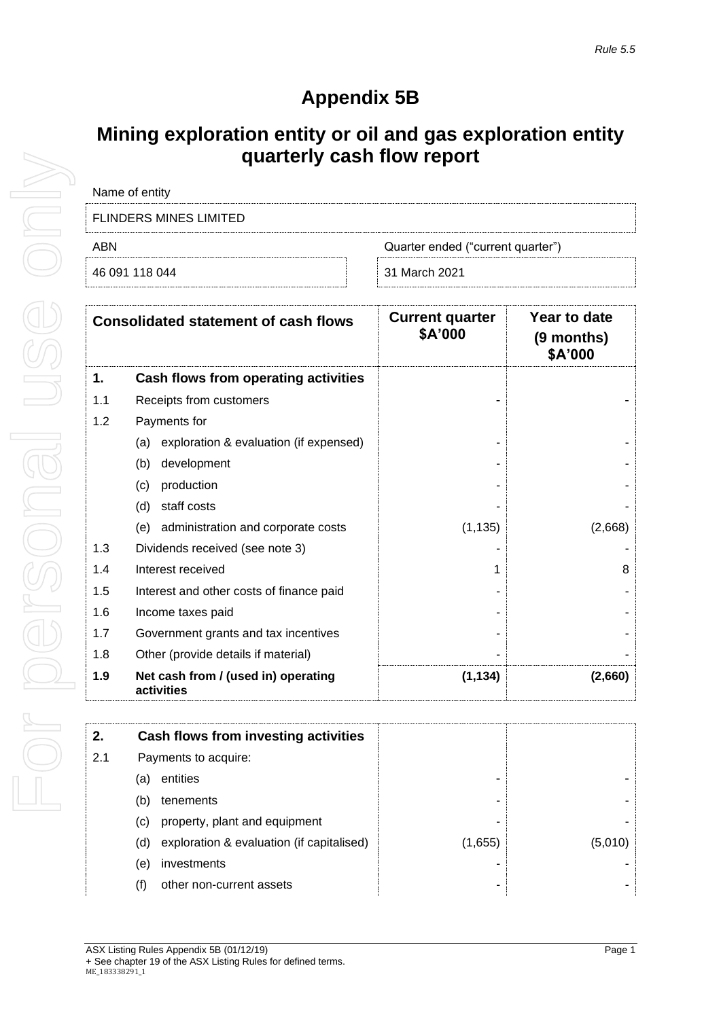## **Appendix 5B**

## **Mining exploration entity or oil and gas exploration entity quarterly cash flow report**

| Name of entity                |                                   |
|-------------------------------|-----------------------------------|
| <b>FLINDERS MINES LIMITED</b> |                                   |
| ABN                           | Quarter ended ("current quarter") |
| 46 091 118 044                | 31 March 2021                     |

|     | <b>Consolidated statement of cash flows</b>       | <b>Current quarter</b><br>\$A'000 | Year to date<br>(9 months)<br>\$A'000 |
|-----|---------------------------------------------------|-----------------------------------|---------------------------------------|
| 1.  | Cash flows from operating activities              |                                   |                                       |
| 1.1 | Receipts from customers                           |                                   |                                       |
| 1.2 | Payments for                                      |                                   |                                       |
|     | (a) exploration & evaluation (if expensed)        |                                   |                                       |
|     | development<br>(b)                                |                                   |                                       |
|     | production<br>(c)                                 |                                   |                                       |
|     | (d)<br>staff costs                                |                                   |                                       |
|     | (e) administration and corporate costs            | (1, 135)                          | (2,668)                               |
| 1.3 | Dividends received (see note 3)                   |                                   |                                       |
| 1.4 | Interest received                                 |                                   | 8                                     |
| 1.5 | Interest and other costs of finance paid          |                                   |                                       |
| 1.6 | Income taxes paid                                 |                                   |                                       |
| 1.7 | Government grants and tax incentives              |                                   |                                       |
| 1.8 | Other (provide details if material)               |                                   |                                       |
| 1.9 | Net cash from / (used in) operating<br>activities | (1, 134)                          | (2,660)                               |

| (5,010) |
|---------|
|         |
|         |
|         |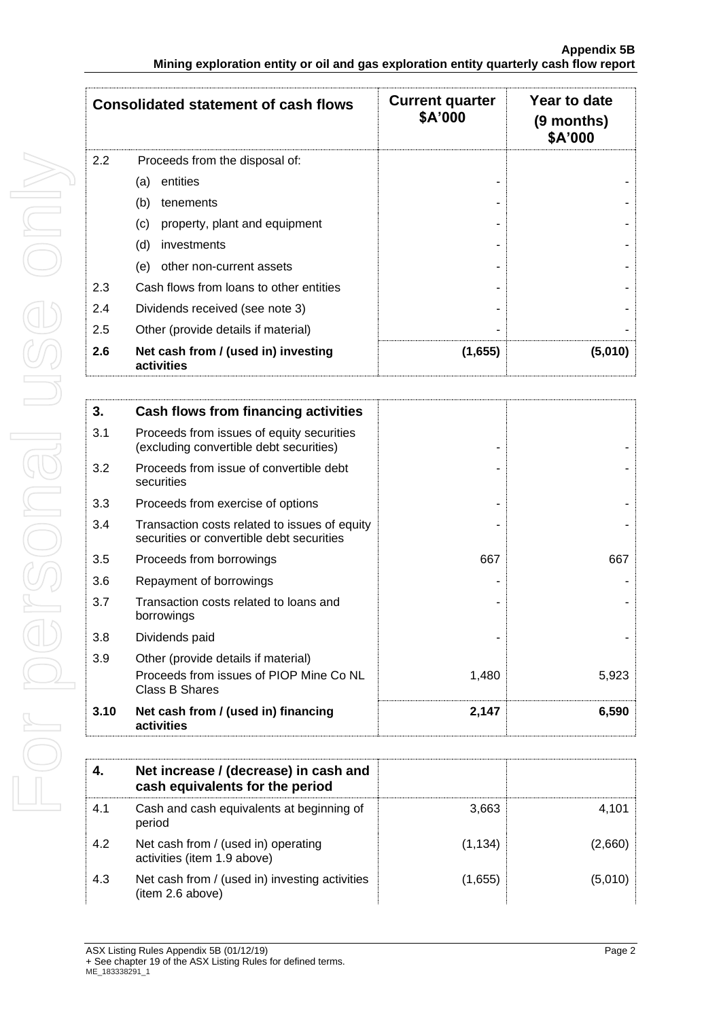|     | <b>Consolidated statement of cash flows</b>       | <b>Current quarter</b><br>\$A'000 | Year to date<br>(9 months)<br>\$A'000 |
|-----|---------------------------------------------------|-----------------------------------|---------------------------------------|
| 2.2 | Proceeds from the disposal of:                    |                                   |                                       |
|     | entities<br>(a)                                   |                                   |                                       |
|     | (b)<br>tenements                                  |                                   |                                       |
|     | property, plant and equipment<br>(c)              |                                   |                                       |
|     | (d)<br>investments                                |                                   |                                       |
|     | other non-current assets<br>(e)                   |                                   |                                       |
| 2.3 | Cash flows from loans to other entities           |                                   |                                       |
| 2.4 | Dividends received (see note 3)                   |                                   |                                       |
| 2.5 | Other (provide details if material)               |                                   |                                       |
| 2.6 | Net cash from / (used in) investing<br>activities | (1,655)                           | (5,010)                               |

| 3.   | Cash flows from financing activities                                                       |       |       |
|------|--------------------------------------------------------------------------------------------|-------|-------|
| 3.1  | Proceeds from issues of equity securities<br>(excluding convertible debt securities)       |       |       |
| 3.2  | Proceeds from issue of convertible debt<br>securities                                      |       |       |
| 3.3  | Proceeds from exercise of options                                                          |       |       |
| 3.4  | Transaction costs related to issues of equity<br>securities or convertible debt securities |       |       |
| 3.5  | Proceeds from borrowings                                                                   | 667   | 667   |
| 3.6  | Repayment of borrowings                                                                    |       |       |
| 3.7  | Transaction costs related to loans and<br>borrowings                                       |       |       |
| 3.8  | Dividends paid                                                                             |       |       |
| 3.9  | Other (provide details if material)                                                        |       |       |
|      | Proceeds from issues of PIOP Mine Co NL<br>Class B Shares                                  | 1,480 | 5,923 |
| 3.10 | Net cash from / (used in) financing<br>activities                                          | 2,147 | 6,590 |

| 4.  | Net increase / (decrease) in cash and<br>cash equivalents for the period |          |         |
|-----|--------------------------------------------------------------------------|----------|---------|
| 4.1 | Cash and cash equivalents at beginning of<br>period                      | 3.663    | 4.101   |
| 4.2 | Net cash from / (used in) operating<br>activities (item 1.9 above)       | (1, 134) | (2,660) |
| 4.3 | Net cash from / (used in) investing activities<br>(item 2.6 above)       | (1,655)  | (5,010) |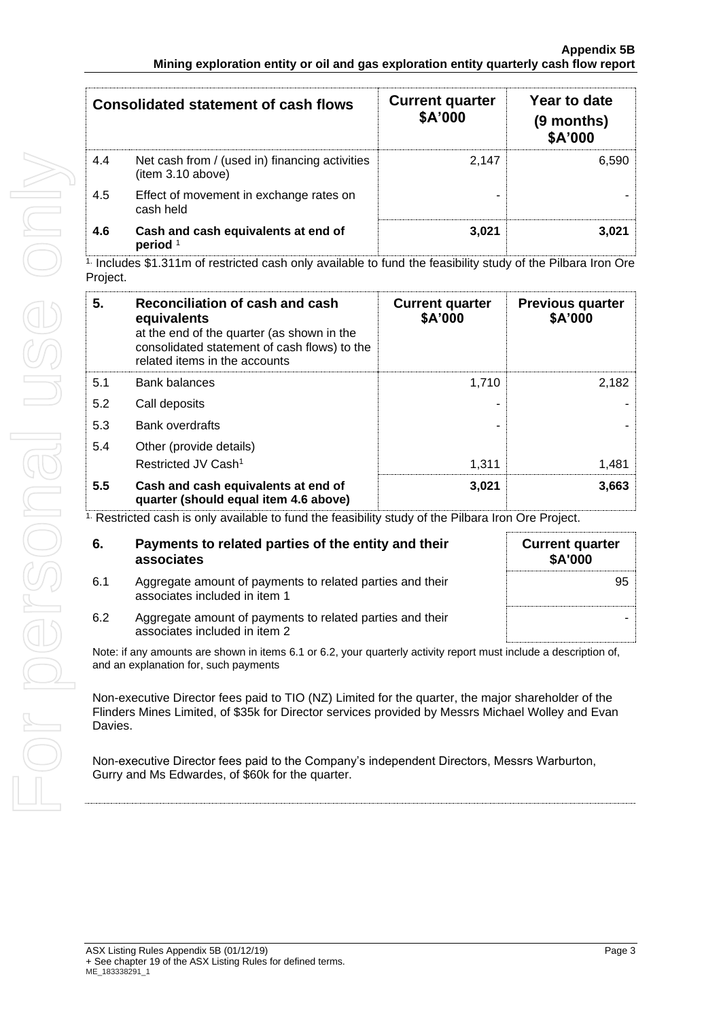| Consolidated statement of cash flows |                                                                    | <b>Current quarter</b><br>\$A'000 | Year to date<br>(9 months)<br>\$A'000 |
|--------------------------------------|--------------------------------------------------------------------|-----------------------------------|---------------------------------------|
| 4.4                                  | Net cash from / (used in) financing activities<br>item 3.10 above) | 2.147                             | 6.590                                 |
| 4.5                                  | Effect of movement in exchange rates on<br>cash held               |                                   |                                       |
| 4.6                                  | Cash and cash equivalents at end of<br>period <sup>1</sup>         | 3.021                             | 3.021                                 |

1. Includes \$1.311m of restricted cash only available to fund the feasibility study of the Pilbara Iron Ore Project.

| 5.  | Reconciliation of cash and cash<br>equivalents<br>at the end of the quarter (as shown in the<br>consolidated statement of cash flows) to the<br>related items in the accounts | <b>Current quarter</b><br>\$A'000 | <b>Previous quarter</b><br>\$A'000 |
|-----|-------------------------------------------------------------------------------------------------------------------------------------------------------------------------------|-----------------------------------|------------------------------------|
| 5.1 | Bank balances                                                                                                                                                                 | 1.710                             | 2,182                              |
| 5.2 | Call deposits                                                                                                                                                                 |                                   |                                    |
| 5.3 | <b>Bank overdrafts</b>                                                                                                                                                        |                                   |                                    |
| 5.4 | Other (provide details)                                                                                                                                                       |                                   |                                    |
|     | Restricted JV Cash <sup>1</sup>                                                                                                                                               | 1.311                             | 1.481                              |
| 5.5 | Cash and cash equivalents at end of<br>quarter (should equal item 4.6 above)                                                                                                  | 3,021                             | 3,663                              |

<sup>1.</sup> Restricted cash is only available to fund the feasibility study of the Pilbara Iron Ore Project.

| 6.  | Payments to related parties of the entity and their<br>associates                          | <b>Current quarter</b><br><b>\$A'000</b> |
|-----|--------------------------------------------------------------------------------------------|------------------------------------------|
| 6.1 | Aggregate amount of payments to related parties and their<br>associates included in item 1 | 95                                       |
| 6.2 | Aggregate amount of payments to related parties and their<br>associates included in item 2 |                                          |

Note: if any amounts are shown in items 6.1 or 6.2, your quarterly activity report must include a description of, and an explanation for, such payments

Non-executive Director fees paid to TIO (NZ) Limited for the quarter, the major shareholder of the Flinders Mines Limited, of \$35k for Director services provided by Messrs Michael Wolley and Evan Davies.

Non-executive Director fees paid to the Company's independent Directors, Messrs Warburton, Gurry and Ms Edwardes, of \$60k for the quarter.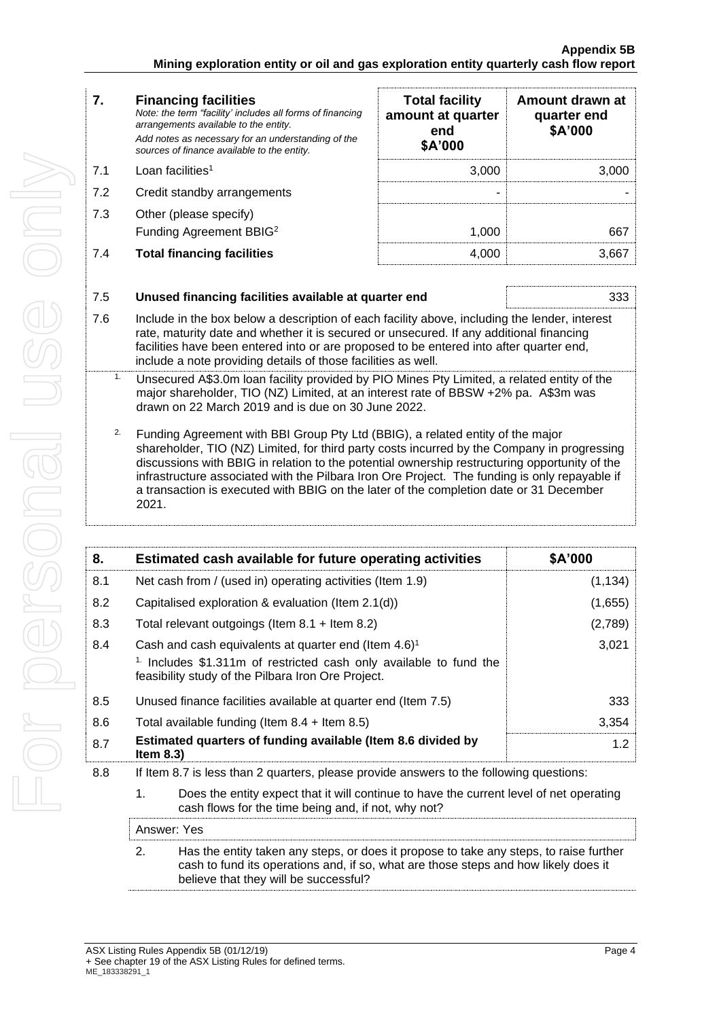- 7.3 Other (please specify)
	- Funding Agreement BBIG<sup>2</sup>

| 7.  | <b>Financing facilities</b><br>Note: the term "facility' includes all forms of financing<br>arrangements available to the entity.<br>Add notes as necessary for an understanding of the<br>sources of finance available to the entity. | <b>Total facility</b><br>amount at quarter<br>end<br>\$A'000 | Amount drawn at<br>quarter end<br>\$A'000 |
|-----|----------------------------------------------------------------------------------------------------------------------------------------------------------------------------------------------------------------------------------------|--------------------------------------------------------------|-------------------------------------------|
| 7.1 | Loan facilities <sup>1</sup>                                                                                                                                                                                                           | 3.000                                                        | 3.000                                     |
| 7.2 | Credit standby arrangements                                                                                                                                                                                                            | -                                                            |                                           |
| 7.3 | Other (please specify)<br>Funding Agreement BBIG <sup>2</sup>                                                                                                                                                                          | 1.000                                                        | 667                                       |
| 7.4 | <b>Total financing facilities</b>                                                                                                                                                                                                      | 4.000                                                        | 3.667                                     |

| 7.5 | Unused financing facilities available at quarter end                                                                                                                                                                                                                                                                                                                                                                                                                               | 333      |  |
|-----|------------------------------------------------------------------------------------------------------------------------------------------------------------------------------------------------------------------------------------------------------------------------------------------------------------------------------------------------------------------------------------------------------------------------------------------------------------------------------------|----------|--|
| 7.6 | Include in the box below a description of each facility above, including the lender, interest<br>rate, maturity date and whether it is secured or unsecured. If any additional financing<br>facilities have been entered into or are proposed to be entered into after quarter end,<br>include a note providing details of those facilities as well.                                                                                                                               |          |  |
| 1.  | Unsecured A\$3.0m loan facility provided by PIO Mines Pty Limited, a related entity of the<br>major shareholder, TIO (NZ) Limited, at an interest rate of BBSW +2% pa. A\$3m was<br>drawn on 22 March 2019 and is due on 30 June 2022.                                                                                                                                                                                                                                             |          |  |
| 2.  | Funding Agreement with BBI Group Pty Ltd (BBIG), a related entity of the major<br>shareholder, TIO (NZ) Limited, for third party costs incurred by the Company in progressing<br>discussions with BBIG in relation to the potential ownership restructuring opportunity of the<br>infrastructure associated with the Pilbara Iron Ore Project. The funding is only repayable if<br>a transaction is executed with BBIG on the later of the completion date or 31 December<br>2021. |          |  |
|     |                                                                                                                                                                                                                                                                                                                                                                                                                                                                                    |          |  |
| 8.  | Estimated cash available for future operating activities                                                                                                                                                                                                                                                                                                                                                                                                                           | \$A'000  |  |
| 8.1 | Net cash from / (used in) operating activities (Item 1.9)                                                                                                                                                                                                                                                                                                                                                                                                                          | (1, 134) |  |
| 8.2 | Capitalised exploration & evaluation (Item 2.1(d))                                                                                                                                                                                                                                                                                                                                                                                                                                 | (1,655)  |  |
| 8.3 | Total relevant outgoings (Item 8.1 + Item 8.2)                                                                                                                                                                                                                                                                                                                                                                                                                                     | (2,789)  |  |
| 8.4 | Cash and cash equivalents at quarter end (Item 4.6) <sup>1</sup><br><sup>1.</sup> Includes \$1.311m of restricted cash only available to fund the                                                                                                                                                                                                                                                                                                                                  | 3,021    |  |

| 8.7 | Estimated quarters of funding available (Item 8.6 divided by<br>Item $8.3$ )                                                       | 12    |
|-----|------------------------------------------------------------------------------------------------------------------------------------|-------|
| 8.6 | Total available funding (Item $8.4$ + Item $8.5$ )                                                                                 | 3.354 |
| 8.5 | Unused finance facilities available at quarter end (Item 7.5)                                                                      | 333   |
|     | <sup>1</sup> Includes \$1.311m of restricted cash only available to fund the<br>feasibility study of the Pilbara Iron Ore Project. |       |

8.8 If Item 8.7 is less than 2 quarters, please provide answers to the following questions:

1. Does the entity expect that it will continue to have the current level of net operating cash flows for the time being and, if not, why not?

| Answer: Yes |                                                                                                                                                                                                                        |  |  |  |
|-------------|------------------------------------------------------------------------------------------------------------------------------------------------------------------------------------------------------------------------|--|--|--|
| 2.          | Has the entity taken any steps, or does it propose to take any steps, to raise further<br>cash to fund its operations and, if so, what are those steps and how likely does it<br>believe that they will be successful? |  |  |  |